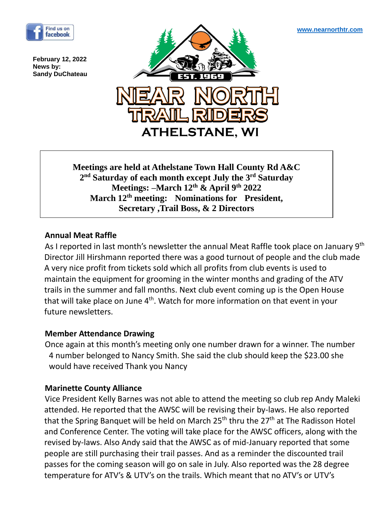

**February 12, 2022 News by: Sandy DuChateau**



**Meetings are held at Athelstane Town Hall County Rd A&C 2 nd Saturday of each month except July the 3rd Saturday Meetings: –March 12th & April 9th 2022 March 12th meeting: Nominations for President, Secretary ,Trail Boss, & 2 Directors**

### **Annual Meat Raffle**

As I reported in last month's newsletter the annual Meat Raffle took place on January 9th Director Jill Hirshmann reported there was a good turnout of people and the club made A very nice profit from tickets sold which all profits from club events is used to maintain the equipment for grooming in the winter months and grading of the ATV trails in the summer and fall months. Next club event coming up is the Open House that will take place on June 4<sup>th</sup>. Watch for more information on that event in your future newsletters.

# **Member Attendance Drawing**

Once again at this month's meeting only one number drawn for a winner. The number 4 number belonged to Nancy Smith. She said the club should keep the \$23.00 she would have received Thank you Nancy

#### **Marinette County Alliance**

Vice President Kelly Barnes was not able to attend the meeting so club rep Andy Maleki attended. He reported that the AWSC will be revising their by-laws. He also reported that the Spring Banquet will be held on March  $25<sup>th</sup>$  thru the  $27<sup>th</sup>$  at The Radisson Hotel and Conference Center. The voting will take place for the AWSC officers, along with the revised by-laws. Also Andy said that the AWSC as of mid-January reported that some people are still purchasing their trail passes. And as a reminder the discounted trail passes for the coming season will go on sale in July. Also reported was the 28 degree temperature for ATV's & UTV's on the trails. Which meant that no ATV's or UTV's